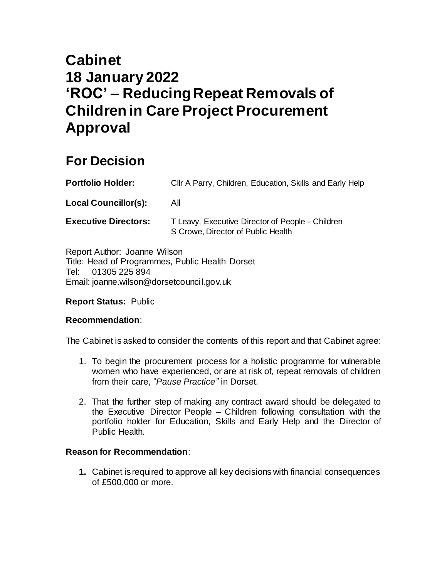# **Cabinet 18 January 2022 'ROC' – Reducing Repeat Removals of Children in Care Project Procurement Approval**

## **For Decision**

| <b>Portfolio Holder:</b>    | CIIr A Parry, Children, Education, Skills and Early Help                               |  |
|-----------------------------|----------------------------------------------------------------------------------------|--|
| <b>Local Councillor(s):</b> | All                                                                                    |  |
| <b>Executive Directors:</b> | T Leavy, Executive Director of People - Children<br>S Crowe, Director of Public Health |  |

Report Author: Joanne Wilson Title: Head of Programmes, Public Health Dorset Tel: 01305 225 894 Email: joanne.wilson@dorsetcouncil.gov.uk

#### **Report Status:** Public

#### **Recommendation**:

The Cabinet is asked to consider the contents of this report and that Cabinet agree:

- 1. To begin the procurement process for a holistic programme for vulnerable women who have experienced, or are at risk of, repeat removals of children from their care, "*Pause Practice"* in Dorset.
- 2. That the further step of making any contract award should be delegated to the Executive Director People – Children following consultation with the portfolio holder for Education, Skills and Early Help and the Director of Public Health.

#### **Reason for Recommendation**:

**1.** Cabinet is required to approve all key decisions with financial consequences of £500,000 or more.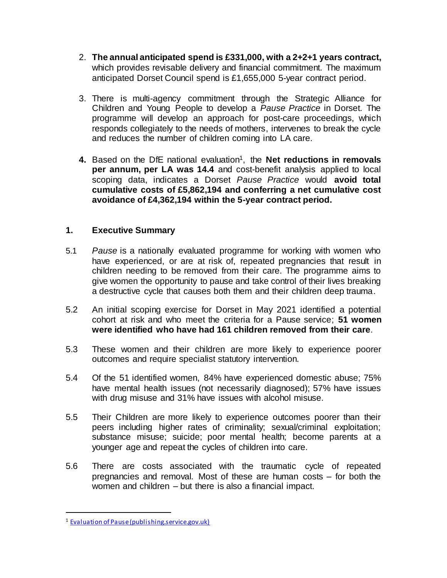- 2. **The annual anticipated spend is £331,000, with a 2+2+1 years contract,**  which provides revisable delivery and financial commitment. The maximum anticipated Dorset Council spend is £1,655,000 5-year contract period.
- 3. There is multi-agency commitment through the Strategic Alliance for Children and Young People to develop a *Pause Practice* in Dorset. The programme will develop an approach for post-care proceedings, which responds collegiately to the needs of mothers, intervenes to break the cycle and reduces the number of children coming into LA care.
- 4. Based on the DfE national evaluation<sup>1</sup>, the **Net reductions in removals per annum, per LA was 14.4** and cost-benefit analysis applied to local scoping data, indicates a Dorset *Pause Practice* would **avoid total cumulative costs of £5,862,194 and conferring a net cumulative cost avoidance of £4,362,194 within the 5-year contract period.**

#### **1. Executive Summary**

- 5.1 *Pause* is a nationally evaluated programme for working with women who have experienced, or are at risk of, repeated pregnancies that result in children needing to be removed from their care. The programme aims to give women the opportunity to pause and take control of their lives breaking a destructive cycle that causes both them and their children deep trauma.
- 5.2 An initial scoping exercise for Dorset in May 2021 identified a potential cohort at risk and who meet the criteria for a Pause service; **51 women were identified who have had 161 children removed from their care**.
- 5.3 These women and their children are more likely to experience poorer outcomes and require specialist statutory intervention.
- 5.4 Of the 51 identified women, 84% have experienced domestic abuse; 75% have mental health issues (not necessarily diagnosed); 57% have issues with drug misuse and 31% have issues with alcohol misuse.
- 5.5 Their Children are more likely to experience outcomes poorer than their peers including higher rates of criminality; sexual/criminal exploitation; substance misuse; suicide; poor mental health; become parents at a younger age and repeat the cycles of children into care.
- 5.6 There are costs associated with the traumatic cycle of repeated pregnancies and removal. Most of these are human costs – for both the women and children – but there is also a financial impact.

 $\ddot{\phantom{a}}$ 

<sup>1</sup> [Evaluation of Pause \(publishing.service.gov.uk\)](https://assets.publishing.service.gov.uk/government/uploads/system/uploads/attachment_data/file/932816/Pause_-_Sussex.pdf)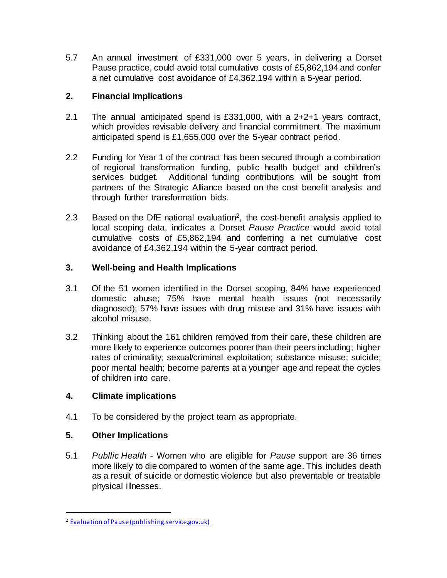5.7 An annual investment of £331,000 over 5 years, in delivering a Dorset Pause practice, could avoid total cumulative costs of £5,862,194 and confer a net cumulative cost avoidance of £4,362,194 within a 5-year period.

#### **2. Financial Implications**

- 2.1 The annual anticipated spend is £331,000, with a 2+2+1 years contract, which provides revisable delivery and financial commitment. The maximum anticipated spend is £1,655,000 over the 5-year contract period.
- 2.2 Funding for Year 1 of the contract has been secured through a combination of regional transformation funding, public health budget and children's services budget. Additional funding contributions will be sought from partners of the Strategic Alliance based on the cost benefit analysis and through further transformation bids.
- 2.3 Based on the DfE national evaluation<sup>2</sup>, the cost-benefit analysis applied to local scoping data, indicates a Dorset *Pause Practice* would avoid total cumulative costs of £5,862,194 and conferring a net cumulative cost avoidance of £4,362,194 within the 5-year contract period.

#### **3. Well-being and Health Implications**

- 3.1 Of the 51 women identified in the Dorset scoping, 84% have experienced domestic abuse; 75% have mental health issues (not necessarily diagnosed); 57% have issues with drug misuse and 31% have issues with alcohol misuse.
- 3.2 Thinking about the 161 children removed from their care, these children are more likely to experience outcomes poorer than their peers including; higher rates of criminality; sexual/criminal exploitation; substance misuse; suicide; poor mental health; become parents at a younger age and repeat the cycles of children into care.

#### **4. Climate implications**

4.1 To be considered by the project team as appropriate.

#### **5. Other Implications**

 $\ddot{\phantom{a}}$ 

5.1 *Publlic Health* - Women who are eligible for *Pause* support are 36 times more likely to die compared to women of the same age. This includes death as a result of suicide or domestic violence but also preventable or treatable physical illnesses.

<sup>2</sup> [Evaluation of Pause \(publishing.service.gov.uk\)](https://assets.publishing.service.gov.uk/government/uploads/system/uploads/attachment_data/file/932816/Pause_-_Sussex.pdf)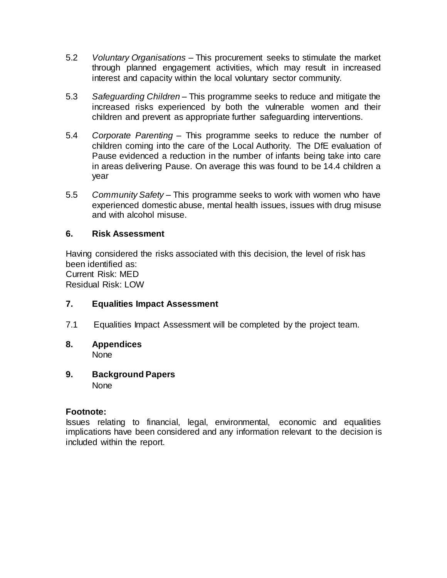- 5.2 *Voluntary Organisations* This procurement seeks to stimulate the market through planned engagement activities, which may result in increased interest and capacity within the local voluntary sector community.
- 5.3 *Safeguarding Children* This programme seeks to reduce and mitigate the increased risks experienced by both the vulnerable women and their children and prevent as appropriate further safeguarding interventions.
- 5.4 *Corporate Parenting* This programme seeks to reduce the number of children coming into the care of the Local Authority. The DfE evaluation of Pause evidenced a reduction in the number of infants being take into care in areas delivering Pause. On average this was found to be 14.4 children a year
- 5.5 *Community Safety* This programme seeks to work with women who have experienced domestic abuse, mental health issues, issues with drug misuse and with alcohol misuse.

#### **6. Risk Assessment**

Having considered the risks associated with this decision, the level of risk has been identified as: Current Risk: MED Residual Risk: LOW

#### **7. Equalities Impact Assessment**

- 7.1 Equalities Impact Assessment will be completed by the project team.
- **8. Appendices** None
- **9. Background Papers None**

#### **Footnote:**

Issues relating to financial, legal, environmental, economic and equalities implications have been considered and any information relevant to the decision is included within the report.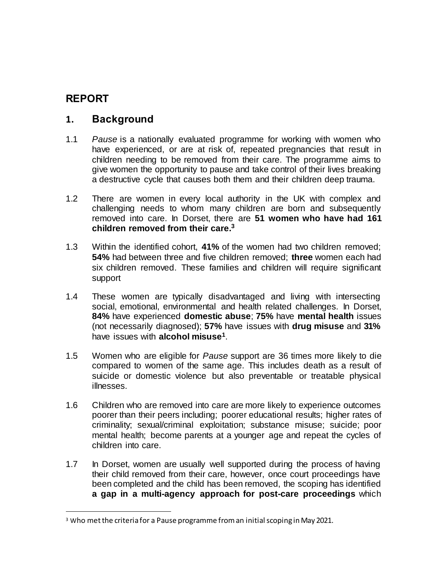## **REPORT**

 $\ddot{\phantom{a}}$ 

## **1. Background**

- 1.1 *Pause* is a nationally evaluated programme for working with women who have experienced, or are at risk of, repeated pregnancies that result in children needing to be removed from their care. The programme aims to give women the opportunity to pause and take control of their lives breaking a destructive cycle that causes both them and their children deep trauma.
- 1.2 There are women in every local authority in the UK with complex and challenging needs to whom many children are born and subsequently removed into care. In Dorset, there are **51 women who have had 161 children removed from their care. 3**
- 1.3 Within the identified cohort, **41%** of the women had two children removed; **54%** had between three and five children removed; **three** women each had six children removed. These families and children will require significant support
- 1.4 These women are typically disadvantaged and living with intersecting social, emotional, environmental and health related challenges. In Dorset, **84%** have experienced **domestic abuse**; **75%** have **mental health** issues (not necessarily diagnosed); **57%** have issues with **drug misuse** and **31%** have issues with **alcohol misuse<sup>1</sup>** .
- 1.5 Women who are eligible for *Pause* support are 36 times more likely to die compared to women of the same age. This includes death as a result of suicide or domestic violence but also preventable or treatable physical illnesses.
- 1.6 Children who are removed into care are more likely to experience outcomes poorer than their peers including; poorer educational results; higher rates of criminality; sexual/criminal exploitation; substance misuse; suicide; poor mental health; become parents at a younger age and repeat the cycles of children into care.
- 1.7 In Dorset, women are usually well supported during the process of having their child removed from their care, however, once court proceedings have been completed and the child has been removed, the scoping has identified **a gap in a multi-agency approach for post-care proceedings** which

<sup>&</sup>lt;sup>3</sup> Who met the criteria for a Pause programme from an initial scoping in May 2021.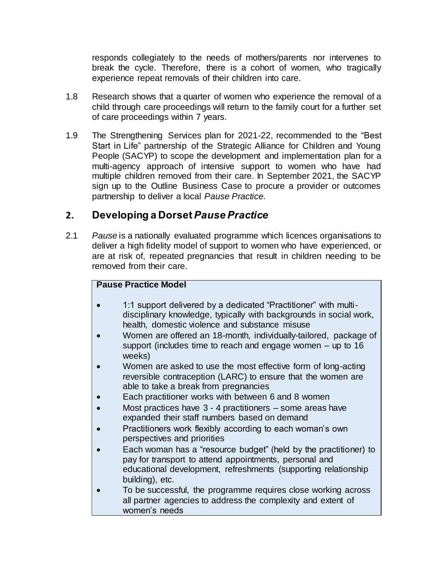responds collegiately to the needs of mothers/parents nor intervenes to break the cycle. Therefore, there is a cohort of women, who tragically experience repeat removals of their children into care.

- 1.8 Research shows that a quarter of women who experience the removal of a child through care proceedings will return to the family court for a further set of care proceedings within 7 years.
- 1.9 The Strengthening Services plan for 2021-22, recommended to the "Best Start in Life" partnership of the Strategic Alliance for Children and Young People (SACYP) to scope the development and implementation plan for a multi-agency approach of intensive support to women who have had multiple children removed from their care. In September 2021, the SACYP sign up to the Outline Business Case to procure a provider or outcomes partnership to deliver a local *Pause Practice.*

## **2. Developing a Dorset** *Pause Practice*

2.1 *Pause* is a nationally evaluated programme which licences organisations to deliver a high fidelity model of support to women who have experienced, or are at risk of, repeated pregnancies that result in children needing to be removed from their care.

#### **Pause Practice Model**

- 1:1 support delivered by a dedicated "Practitioner" with multidisciplinary knowledge, typically with backgrounds in social work, health, domestic violence and substance misuse
- Women are offered an 18-month, individually-tailored, package of support (includes time to reach and engage women – up to 16 weeks)
- Women are asked to use the most effective form of long-acting reversible contraception (LARC) to ensure that the women are able to take a break from pregnancies
- Each practitioner works with between 6 and 8 women
- Most practices have 3 4 practitioners some areas have expanded their staff numbers based on demand
- Practitioners work flexibly according to each woman's own perspectives and priorities
- Each woman has a "resource budget" (held by the practitioner) to pay for transport to attend appointments, personal and educational development, refreshments (supporting relationship building), etc.
- To be successful, the programme requires close working across all partner agencies to address the complexity and extent of women's needs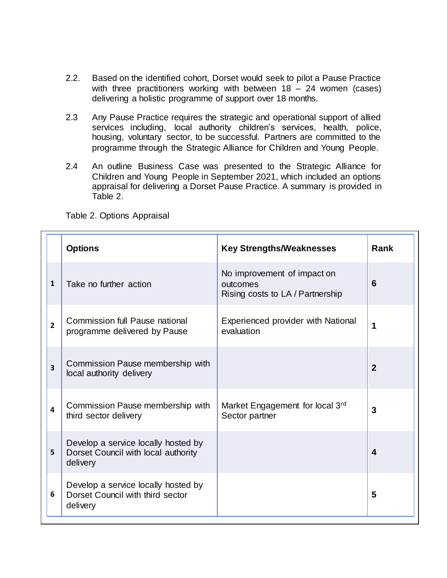- 2.2. Based on the identified cohort, Dorset would seek to pilot a Pause Practice with three practitioners working with between  $18 - 24$  women (cases) delivering a holistic programme of support over 18 months.
- 2.3 Any Pause Practice requires the strategic and operational support of allied services including, local authority children's services, health, police, housing, voluntary sector, to be successful. Partners are committed to the programme through the Strategic Alliance for Children and Young People.
- 2.4 An outline Business Case was presented to the Strategic Alliance for Children and Young People in September 2021, which included an options appraisal for delivering a Dorset Pause Practice. A summary is provided in Table 2.

Table 2. Options Appraisal

|                | <b>Options</b>                                                                         | <b>Key Strengths/Weaknesses</b>                                             | Rank                    |
|----------------|----------------------------------------------------------------------------------------|-----------------------------------------------------------------------------|-------------------------|
| 1              | Take no further action                                                                 | No improvement of impact on<br>outcomes<br>Rising costs to LA / Partnership | 6                       |
| $\overline{2}$ | <b>Commission full Pause national</b><br>programme delivered by Pause                  | Experienced provider with National<br>evaluation                            | 1                       |
| 3              | Commission Pause membership with<br>local authority delivery                           |                                                                             | $\overline{2}$          |
| 4              | Commission Pause membership with<br>third sector delivery                              | Market Engagement for local 3rd<br>Sector partner                           | 3                       |
| 5              | Develop a service locally hosted by<br>Dorset Council with local authority<br>delivery |                                                                             | $\overline{\mathbf{4}}$ |
| 6              | Develop a service locally hosted by<br>Dorset Council with third sector<br>delivery    |                                                                             | 5                       |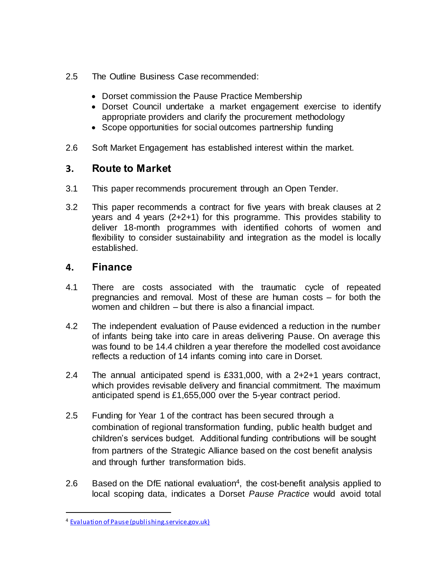- 2.5 The Outline Business Case recommended:
	- Dorset commission the Pause Practice Membership
	- Dorset Council undertake a market engagement exercise to identify appropriate providers and clarify the procurement methodology
	- Scope opportunities for social outcomes partnership funding
- 2.6 Soft Market Engagement has established interest within the market.

## **3. Route to Market**

- 3.1 This paper recommends procurement through an Open Tender.
- 3.2 This paper recommends a contract for five years with break clauses at 2 years and 4 years (2+2+1) for this programme. This provides stability to deliver 18-month programmes with identified cohorts of women and flexibility to consider sustainability and integration as the model is locally established.

## **4. Finance**

- 4.1 There are costs associated with the traumatic cycle of repeated pregnancies and removal. Most of these are human costs – for both the women and children – but there is also a financial impact.
- 4.2 The independent evaluation of Pause evidenced a reduction in the number of infants being take into care in areas delivering Pause. On average this was found to be 14.4 children a year therefore the modelled cost avoidance reflects a reduction of 14 infants coming into care in Dorset.
- 2.4 The annual anticipated spend is £331,000, with a 2+2+1 years contract, which provides revisable delivery and financial commitment. The maximum anticipated spend is £1,655,000 over the 5-year contract period.
- 2.5 Funding for Year 1 of the contract has been secured through a combination of regional transformation funding, public health budget and children's services budget. Additional funding contributions will be sought from partners of the Strategic Alliance based on the cost benefit analysis and through further transformation bids.
- 2.6 Based on the DfE national evaluation<sup>4</sup>, the cost-benefit analysis applied to local scoping data, indicates a Dorset *Pause Practice* would avoid total

 $\ddot{\phantom{a}}$ 

<sup>4</sup> [Evaluation of Pause \(publishing.service.gov.uk\)](https://assets.publishing.service.gov.uk/government/uploads/system/uploads/attachment_data/file/932816/Pause_-_Sussex.pdf)